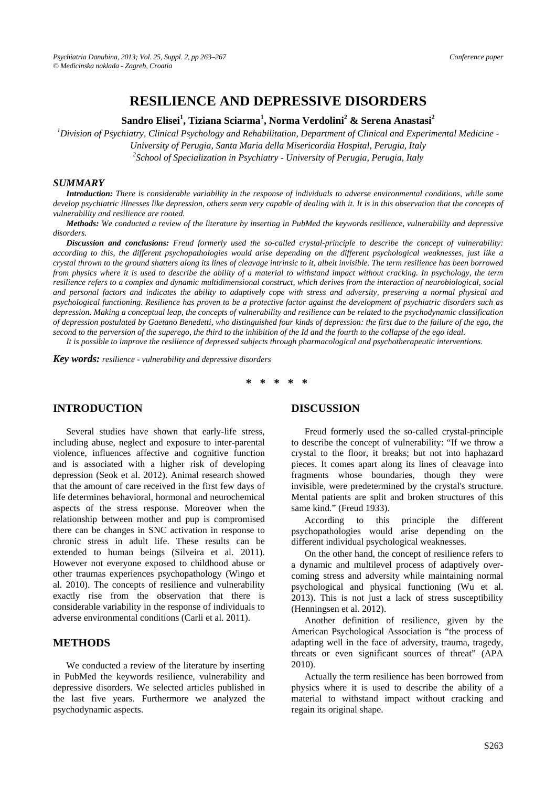# **RESILIENCE AND DEPRESSIVE DISORDERS**

**Sandro Elisei<sup>1</sup> , Tiziana Sciarma<sup>1</sup> , Norma Verdolini2 & Serena Anastasi<sup>2</sup>**

*1 Division of Psychiatry, Clinical Psychology and Rehabilitation, Department of Clinical and Experimental Medicine -* 

*University of Perugia, Santa Maria della Misericordia Hospital, Perugia, Italy* 

*2 School of Specialization in Psychiatry - University of Perugia, Perugia, Italy* 

#### *SUMMARY*

*Introduction: There is considerable variability in the response of individuals to adverse environmental conditions, while some develop psychiatric illnesses like depression, others seem very capable of dealing with it. It is in this observation that the concepts of vulnerability and resilience are rooted.* 

*Methods: We conducted a review of the literature by inserting in PubMed the keywords resilience, vulnerability and depressive disorders.* 

*Discussion and conclusions: Freud formerly used the so-called crystal-principle to describe the concept of vulnerability: according to this, the different psychopathologies would arise depending on the different psychological weaknesses, just like a crystal thrown to the ground shatters along its lines of cleavage intrinsic to it, albeit invisible. The term resilience has been borrowed from physics where it is used to describe the ability of a material to withstand impact without cracking. In psychology, the term resilience refers to a complex and dynamic multidimensional construct, which derives from the interaction of neurobiological, social and personal factors and indicates the ability to adaptively cope with stress and adversity, preserving a normal physical and psychological functioning. Resilience has proven to be a protective factor against the development of psychiatric disorders such as depression. Making a conceptual leap, the concepts of vulnerability and resilience can be related to the psychodynamic classification of depression postulated by Gaetano Benedetti, who distinguished four kinds of depression: the first due to the failure of the ego, the second to the perversion of the superego, the third to the inhibition of the Id and the fourth to the collapse of the ego ideal.* 

*It is possible to improve the resilience of depressed subjects through pharmacological and psychotherapeutic interventions.* 

*Key words: resilience - vulnerability and depressive disorders* 

**\* \* \* \* \*** 

## **INTRODUCTION**

Several studies have shown that early-life stress, including abuse, neglect and exposure to inter-parental violence, influences affective and cognitive function and is associated with a higher risk of developing depression (Seok et al. 2012). Animal research showed that the amount of care received in the first few days of life determines behavioral, hormonal and neurochemical aspects of the stress response. Moreover when the relationship between mother and pup is compromised there can be changes in SNC activation in response to chronic stress in adult life. These results can be extended to human beings (Silveira et al. 2011). However not everyone exposed to childhood abuse or other traumas experiences psychopathology (Wingo et al. 2010). The concepts of resilience and vulnerability exactly rise from the observation that there is considerable variability in the response of individuals to adverse environmental conditions (Carli et al. 2011).

#### **METHODS**

We conducted a review of the literature by inserting in PubMed the keywords resilience, vulnerability and depressive disorders. We selected articles published in the last five years. Furthermore we analyzed the psychodynamic aspects.

#### **DISCUSSION**

Freud formerly used the so-called crystal-principle to describe the concept of vulnerability: "If we throw a crystal to the floor, it breaks; but not into haphazard pieces. It comes apart along its lines of cleavage into fragments whose boundaries, though they were invisible, were predetermined by the crystal's structure. Mental patients are split and broken structures of this same kind." (Freud 1933).

According to this principle the different psychopathologies would arise depending on the different individual psychological weaknesses.

On the other hand, the concept of resilience refers to a dynamic and multilevel process of adaptively overcoming stress and adversity while maintaining normal psychological and physical functioning (Wu et al. 2013). This is not just a lack of stress susceptibility (Henningsen et al. 2012).

Another definition of resilience, given by the American Psychological Association is "the process of adapting well in the face of adversity, trauma, tragedy, threats or even significant sources of threat" (APA 2010).

Actually the term resilience has been borrowed from physics where it is used to describe the ability of a material to withstand impact without cracking and regain its original shape.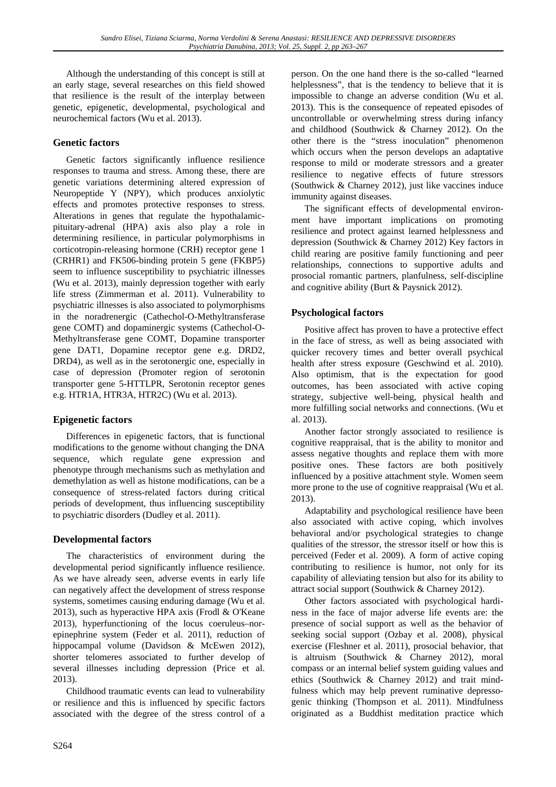Although the understanding of this concept is still at an early stage, several researches on this field showed that resilience is the result of the interplay between genetic, epigenetic, developmental, psychological and neurochemical factors (Wu et al. 2013).

## **Genetic factors**

Genetic factors significantly influence resilience responses to trauma and stress. Among these, there are genetic variations determining altered expression of Neuropeptide Y (NPY), which produces anxiolytic effects and promotes protective responses to stress. Alterations in genes that regulate the hypothalamicpituitary-adrenal (HPA) axis also play a role in determining resilience, in particular polymorphisms in corticotropin-releasing hormone (CRH) receptor gene 1 (CRHR1) and FK506-binding protein 5 gene (FKBP5) seem to influence susceptibility to psychiatric illnesses (Wu et al. 2013), mainly depression together with early life stress (Zimmerman et al. 2011). Vulnerability to psychiatric illnesses is also associated to polymorphisms in the noradrenergic (Cathechol-O-Methyltransferase gene COMT) and dopaminergic systems (Cathechol-O-Methyltransferase gene COMT, Dopamine transporter gene DAT1, Dopamine receptor gene e.g. DRD2, DRD4), as well as in the serotonergic one, especially in case of depression (Promoter region of serotonin transporter gene 5-HTTLPR, Serotonin receptor genes e.g. HTR1A, HTR3A, HTR2C) (Wu et al. 2013).

# **Epigenetic factors**

Differences in epigenetic factors, that is functional modifications to the genome without changing the DNA sequence, which regulate gene expression and phenotype through mechanisms such as methylation and demethylation as well as histone modifications, can be a consequence of stress-related factors during critical periods of development, thus influencing susceptibility to psychiatric disorders (Dudley et al. 2011).

# **Developmental factors**

The characteristics of environment during the developmental period significantly influence resilience. As we have already seen, adverse events in early life can negatively affect the development of stress response systems, sometimes causing enduring damage (Wu et al. 2013), such as hyperactive HPA axis (Frodl & O'Keane 2013), hyperfunctioning of the locus coeruleus–norepinephrine system (Feder et al. 2011), reduction of hippocampal volume (Davidson & McEwen 2012), shorter telomeres associated to further develop of several illnesses including depression (Price et al. 2013).

Childhood traumatic events can lead to vulnerability or resilience and this is influenced by specific factors associated with the degree of the stress control of a person. On the one hand there is the so-called "learned helplessness", that is the tendency to believe that it is impossible to change an adverse condition (Wu et al. 2013). This is the consequence of repeated episodes of uncontrollable or overwhelming stress during infancy and childhood (Southwick & Charney 2012). On the other there is the "stress inoculation" phenomenon which occurs when the person develops an adaptative response to mild or moderate stressors and a greater resilience to negative effects of future stressors (Southwick & Charney 2012), just like vaccines induce immunity against diseases.

The significant effects of developmental environment have important implications on promoting resilience and protect against learned helplessness and depression (Southwick & Charney 2012) Key factors in child rearing are positive family functioning and peer relationships, connections to supportive adults and prosocial romantic partners, planfulness, self-discipline and cognitive ability (Burt & Paysnick 2012).

## **Psychological factors**

Positive affect has proven to have a protective effect in the face of stress, as well as being associated with quicker recovery times and better overall psychical health after stress exposure (Geschwind et al. 2010). Also optimism, that is the expectation for good outcomes, has been associated with active coping strategy, subjective well-being, physical health and more fulfilling social networks and connections. (Wu et al. 2013).

Another factor strongly associated to resilience is cognitive reappraisal, that is the ability to monitor and assess negative thoughts and replace them with more positive ones. These factors are both positively influenced by a positive attachment style. Women seem more prone to the use of cognitive reappraisal (Wu et al. 2013).

Adaptability and psychological resilience have been also associated with active coping, which involves behavioral and/or psychological strategies to change qualities of the stressor, the stressor itself or how this is perceived (Feder et al. 2009). A form of active coping contributing to resilience is humor, not only for its capability of alleviating tension but also for its ability to attract social support (Southwick & Charney 2012).

Other factors associated with psychological hardiness in the face of major adverse life events are: the presence of social support as well as the behavior of seeking social support (Ozbay et al. 2008), physical exercise (Fleshner et al. 2011), prosocial behavior, that is altruism (Southwick & Charney 2012), moral compass or an internal belief system guiding values and ethics (Southwick & Charney 2012) and trait mindfulness which may help prevent ruminative depressogenic thinking (Thompson et al. 2011). Mindfulness originated as a Buddhist meditation practice which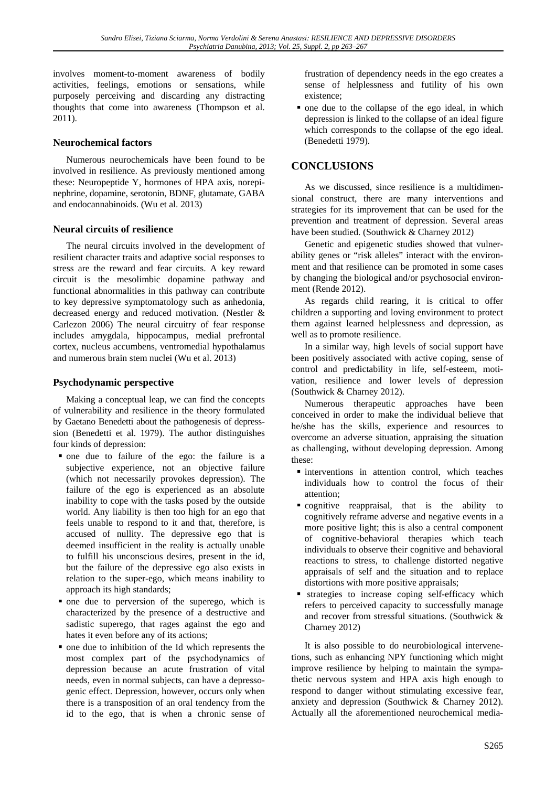involves moment-to-moment awareness of bodily activities, feelings, emotions or sensations, while purposely perceiving and discarding any distracting thoughts that come into awareness (Thompson et al. 2011).

#### **Neurochemical factors**

Numerous neurochemicals have been found to be involved in resilience. As previously mentioned among these: Neuropeptide Y, hormones of HPA axis, norepinephrine, dopamine, serotonin, BDNF, glutamate, GABA and endocannabinoids. (Wu et al. 2013)

#### **Neural circuits of resilience**

The neural circuits involved in the development of resilient character traits and adaptive social responses to stress are the reward and fear circuits. A key reward circuit is the mesolimbic dopamine pathway and functional abnormalities in this pathway can contribute to key depressive symptomatology such as anhedonia, decreased energy and reduced motivation. (Nestler & Carlezon 2006) The neural circuitry of fear response includes amygdala, hippocampus, medial prefrontal cortex, nucleus accumbens, ventromedial hypothalamus and numerous brain stem nuclei (Wu et al. 2013)

### **Psychodynamic perspective**

Making a conceptual leap, we can find the concepts of vulnerability and resilience in the theory formulated by Gaetano Benedetti about the pathogenesis of depresssion (Benedetti et al. 1979). The author distinguishes four kinds of depression:

- one due to failure of the ego: the failure is a subjective experience, not an objective failure (which not necessarily provokes depression). The failure of the ego is experienced as an absolute inability to cope with the tasks posed by the outside world. Any liability is then too high for an ego that feels unable to respond to it and that, therefore, is accused of nullity. The depressive ego that is deemed insufficient in the reality is actually unable to fulfill his unconscious desires, present in the id, but the failure of the depressive ego also exists in relation to the super-ego, which means inability to approach its high standards;
- one due to perversion of the superego, which is characterized by the presence of a destructive and sadistic superego, that rages against the ego and hates it even before any of its actions;
- one due to inhibition of the Id which represents the most complex part of the psychodynamics of depression because an acute frustration of vital needs, even in normal subjects, can have a depressogenic effect. Depression, however, occurs only when there is a transposition of an oral tendency from the id to the ego, that is when a chronic sense of

frustration of dependency needs in the ego creates a sense of helplessness and futility of his own existence;

• one due to the collapse of the ego ideal, in which depression is linked to the collapse of an ideal figure which corresponds to the collapse of the ego ideal. (Benedetti 1979).

# **CONCLUSIONS**

As we discussed, since resilience is a multidimensional construct, there are many interventions and strategies for its improvement that can be used for the prevention and treatment of depression. Several areas have been studied. (Southwick & Charney 2012)

Genetic and epigenetic studies showed that vulnerability genes or "risk alleles" interact with the environment and that resilience can be promoted in some cases by changing the biological and/or psychosocial environment (Rende 2012).

As regards child rearing, it is critical to offer children a supporting and loving environment to protect them against learned helplessness and depression, as well as to promote resilience.

In a similar way, high levels of social support have been positively associated with active coping, sense of control and predictability in life, self-esteem, motivation, resilience and lower levels of depression (Southwick & Charney 2012).

Numerous therapeutic approaches have been conceived in order to make the individual believe that he/she has the skills, experience and resources to overcome an adverse situation, appraising the situation as challenging, without developing depression. Among these:

- $\blacksquare$  interventions in attention control, which teaches individuals how to control the focus of their attention;
- cognitive reappraisal, that is the ability to cognitively reframe adverse and negative events in a more positive light; this is also a central component of cognitive-behavioral therapies which teach individuals to observe their cognitive and behavioral reactions to stress, to challenge distorted negative appraisals of self and the situation and to replace distortions with more positive appraisals;
- strategies to increase coping self-efficacy which refers to perceived capacity to successfully manage and recover from stressful situations. (Southwick & Charney 2012)

It is also possible to do neurobiological intervenetions, such as enhancing NPY functioning which might improve resilience by helping to maintain the sympathetic nervous system and HPA axis high enough to respond to danger without stimulating excessive fear, anxiety and depression (Southwick & Charney 2012). Actually all the aforementioned neurochemical media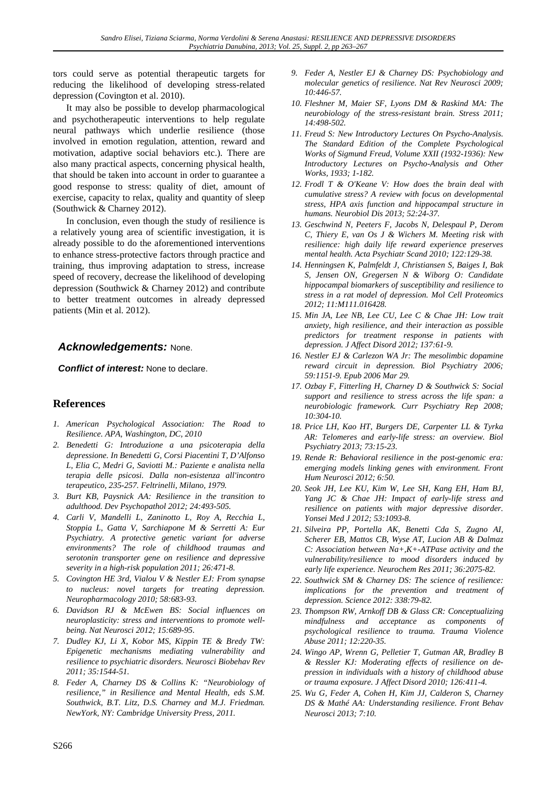tors could serve as potential therapeutic targets for reducing the likelihood of developing stress-related depression (Covington et al. 2010).

It may also be possible to develop pharmacological and psychotherapeutic interventions to help regulate neural pathways which underlie resilience (those involved in emotion regulation, attention, reward and motivation, adaptive social behaviors etc.). There are also many practical aspects, concerning physical health, that should be taken into account in order to guarantee a good response to stress: quality of diet, amount of exercise, capacity to relax, quality and quantity of sleep (Southwick & Charney 2012).

In conclusion, even though the study of resilience is a relatively young area of scientific investigation, it is already possible to do the aforementioned interventions to enhance stress-protective factors through practice and training, thus improving adaptation to stress, increase speed of recovery, decrease the likelihood of developing depression (Southwick & Charney 2012) and contribute to better treatment outcomes in already depressed patients (Min et al. 2012).

# *Acknowledgements:* None.

*Conflict of interest:* None to declare.

### **References**

- *1. American Psychological Association: The Road to Resilience. APA, Washington, DC, 2010*
- *2. Benedetti G: Introduzione a una psicoterapia della depressione. In Benedetti G, Corsi Piacentini T, D'Alfonso L, Elia C, Medri G, Saviotti M.: Paziente e analista nella terapia delle psicosi. Dalla non-esistenza all'incontro terapeutico, 235-257. Feltrinelli, Milano, 1979.*
- *3. Burt KB, Paysnick AA: Resilience in the transition to adulthood. Dev Psychopathol 2012; 24:493-505.*
- *4. Carli V, Mandelli L, Zaninotto L, Roy A, Recchia L, Stoppia L, Gatta V, Sarchiapone M & Serretti A: Eur Psychiatry. A protective genetic variant for adverse environments? The role of childhood traumas and serotonin transporter gene on resilience and depressive severity in a high-risk population 2011; 26:471-8.*
- *5. Covington HE 3rd, Vialou V & Nestler EJ: From synapse to nucleus: novel targets for treating depression. Neuropharmacology 2010; 58:683-93.*
- *6. Davidson RJ & McEwen BS: Social influences on neuroplasticity: stress and interventions to promote wellbeing. Nat Neurosci 2012; 15:689-95.*
- *7. Dudley KJ, Li X, Kobor MS, Kippin TE & Bredy TW: Epigenetic mechanisms mediating vulnerability and resilience to psychiatric disorders. Neurosci Biobehav Rev 2011; 35:1544-51.*
- *8. Feder A, Charney DS & Collins K: "Neurobiology of resilience," in Resilience and Mental Health, eds S.M. Southwick, B.T. Litz, D.S. Charney and M.J. Friedman. NewYork, NY: Cambridge University Press, 2011.*
- *9. Feder A, Nestler EJ & Charney DS: Psychobiology and molecular genetics of resilience. Nat Rev Neurosci 2009; 10:446-57.*
- *10. Fleshner M, Maier SF, Lyons DM & Raskind MA: The neurobiology of the stress-resistant brain. Stress 2011; 14:498-502.*
- *11. Freud S: New Introductory Lectures On Psycho-Analysis. The Standard Edition of the Complete Psychological Works of Sigmund Freud, Volume XXII (1932-1936): New Introductory Lectures on Psycho-Analysis and Other Works, 1933; 1-182.*
- *12. Frodl T & O'Keane V: How does the brain deal with cumulative stress? A review with focus on developmental stress, HPA axis function and hippocampal structure in humans. Neurobiol Dis 2013; 52:24-37.*
- *13. Geschwind N, Peeters F, Jacobs N, Delespaul P, Derom C, Thiery E, van Os J & Wichers M. Meeting risk with resilience: high daily life reward experience preserves mental health. Acta Psychiatr Scand 2010; 122:129-38.*
- *14. Henningsen K, Palmfeldt J, Christiansen S, Baiges I, Bak S, Jensen ON, Gregersen N & Wiborg O: Candidate hippocampal biomarkers of susceptibility and resilience to stress in a rat model of depression. Mol Cell Proteomics 2012; 11:M111.016428.*
- *15. Min JA, Lee NB, Lee CU, Lee C & Chae JH: Low trait anxiety, high resilience, and their interaction as possible predictors for treatment response in patients with depression. J Affect Disord 2012; 137:61-9.*
- *16. Nestler EJ & Carlezon WA Jr: The mesolimbic dopamine reward circuit in depression. Biol Psychiatry 2006; 59:1151-9. Epub 2006 Mar 29.*
- *17. Ozbay F, Fitterling H, Charney D & Southwick S: Social support and resilience to stress across the life span: a neurobiologic framework. Curr Psychiatry Rep 2008; 10:304-10.*
- *18. Price LH, Kao HT, Burgers DE, Carpenter LL & Tyrka AR: Telomeres and early-life stress: an overview. Biol Psychiatry 2013; 73:15-23.*
- *19. Rende R: Behavioral resilience in the post-genomic era: emerging models linking genes with environment. Front Hum Neurosci 2012; 6:50.*
- *20. Seok JH, Lee KU, Kim W, Lee SH, Kang EH, Ham BJ, Yang JC & Chae JH: Impact of early-life stress and resilience on patients with major depressive disorder. Yonsei Med J 2012; 53:1093-8.*
- *21. Silveira PP, Portella AK, Benetti Cda S, Zugno AI, Scherer EB, Mattos CB, Wyse AT, Lucion AB & Dalmaz C: Association between Na+,K+-ATPase activity and the vulnerability/resilience to mood disorders induced by early life experience. Neurochem Res 2011; 36:2075-82.*
- *22. Southwick SM & Charney DS: The science of resilience: implications for the prevention and treatment of depression. Science 2012: 338:79-82.*
- *23. Thompson RW, Arnkoff DB & Glass CR: Conceptualizing mindfulness and acceptance as components of psychological resilience to trauma. Trauma Violence Abuse 2011; 12:220-35.*
- *24. Wingo AP, Wrenn G, Pelletier T, Gutman AR, Bradley B & Ressler KJ: Moderating effects of resilience on depression in individuals with a history of childhood abuse or trauma exposure. J Affect Disord 2010; 126:411-4.*
- *25. Wu G, Feder A, Cohen H, Kim JJ, Calderon S, Charney DS & Mathé AA: Understanding resilience. Front Behav Neurosci 2013; 7:10.*